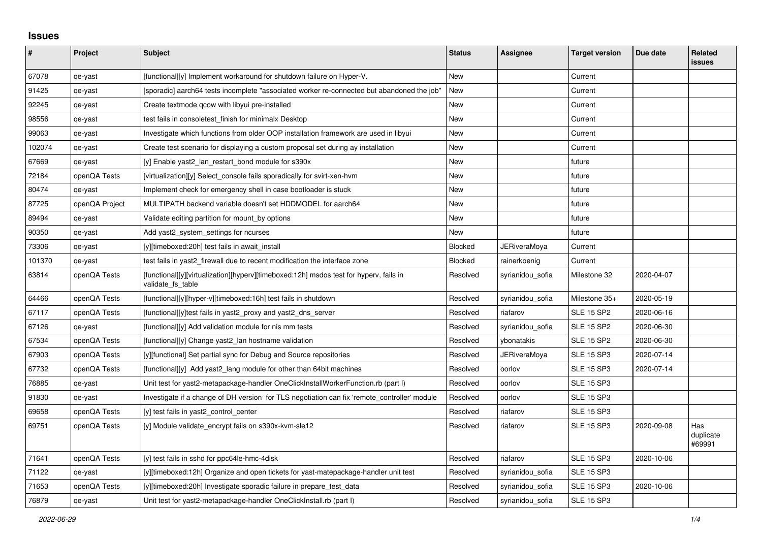## **Issues**

| #      | Project        | <b>Subject</b>                                                                                              | <b>Status</b>  | Assignee            | <b>Target version</b> | Due date   | <b>Related</b><br><b>issues</b> |
|--------|----------------|-------------------------------------------------------------------------------------------------------------|----------------|---------------------|-----------------------|------------|---------------------------------|
| 67078  | qe-yast        | [functional][y] Implement workaround for shutdown failure on Hyper-V.                                       | <b>New</b>     |                     | Current               |            |                                 |
| 91425  | qe-yast        | [sporadic] aarch64 tests incomplete "associated worker re-connected but abandoned the job"                  | New            |                     | Current               |            |                                 |
| 92245  | qe-yast        | Create textmode gcow with libyui pre-installed                                                              | New            |                     | Current               |            |                                 |
| 98556  | qe-yast        | test fails in consoletest finish for minimalx Desktop                                                       | New            |                     | Current               |            |                                 |
| 99063  | qe-yast        | Investigate which functions from older OOP installation framework are used in libyui                        | New            |                     | Current               |            |                                 |
| 102074 | qe-yast        | Create test scenario for displaying a custom proposal set during ay installation                            | New            |                     | Current               |            |                                 |
| 67669  | qe-yast        | [y] Enable yast2_lan_restart_bond module for s390x                                                          | New            |                     | future                |            |                                 |
| 72184  | openQA Tests   | [virtualization][y] Select console fails sporadically for svirt-xen-hym                                     | New            |                     | future                |            |                                 |
| 80474  | qe-yast        | Implement check for emergency shell in case bootloader is stuck                                             | New            |                     | future                |            |                                 |
| 87725  | openQA Project | MULTIPATH backend variable doesn't set HDDMODEL for aarch64                                                 | New            |                     | future                |            |                                 |
| 89494  | qe-yast        | Validate editing partition for mount by options                                                             | New            |                     | future                |            |                                 |
| 90350  | qe-yast        | Add yast2_system_settings for ncurses                                                                       | New            |                     | future                |            |                                 |
| 73306  | qe-yast        | [y][timeboxed:20h] test fails in await install                                                              | <b>Blocked</b> | <b>JERiveraMoya</b> | Current               |            |                                 |
| 101370 | qe-yast        | test fails in yast2 firewall due to recent modification the interface zone                                  | Blocked        | rainerkoenig        | Current               |            |                                 |
| 63814  | openQA Tests   | [functional][y][virtualization][hyperv][timeboxed:12h] msdos test for hyperv, fails in<br>validate fs table | Resolved       | syrianidou sofia    | Milestone 32          | 2020-04-07 |                                 |
| 64466  | openQA Tests   | [functional][y][hyper-v][timeboxed:16h] test fails in shutdown                                              | Resolved       | syrianidou_sofia    | Milestone 35+         | 2020-05-19 |                                 |
| 67117  | openQA Tests   | [functional][y]test fails in yast2 proxy and yast2 dns server                                               | Resolved       | riafarov            | <b>SLE 15 SP2</b>     | 2020-06-16 |                                 |
| 67126  | qe-yast        | [functional][y] Add validation module for nis mm tests                                                      | Resolved       | syrianidou_sofia    | <b>SLE 15 SP2</b>     | 2020-06-30 |                                 |
| 67534  | openQA Tests   | [functional][y] Change yast2 lan hostname validation                                                        | Resolved       | ybonatakis          | <b>SLE 15 SP2</b>     | 2020-06-30 |                                 |
| 67903  | openQA Tests   | [y][functional] Set partial sync for Debug and Source repositories                                          | Resolved       | JERiveraMoya        | <b>SLE 15 SP3</b>     | 2020-07-14 |                                 |
| 67732  | openQA Tests   | [functional][y] Add yast2_lang module for other than 64bit machines                                         | Resolved       | oorlov              | <b>SLE 15 SP3</b>     | 2020-07-14 |                                 |
| 76885  | qe-yast        | Unit test for yast2-metapackage-handler OneClickInstallWorkerFunction.rb (part I)                           | Resolved       | oorlov              | <b>SLE 15 SP3</b>     |            |                                 |
| 91830  | qe-yast        | Investigate if a change of DH version for TLS negotiation can fix 'remote controller' module                | Resolved       | oorlov              | <b>SLE 15 SP3</b>     |            |                                 |
| 69658  | openQA Tests   | [y] test fails in yast2 control center                                                                      | Resolved       | riafarov            | <b>SLE 15 SP3</b>     |            |                                 |
| 69751  | openQA Tests   | [y] Module validate_encrypt fails on s390x-kvm-sle12                                                        | Resolved       | riafarov            | <b>SLE 15 SP3</b>     | 2020-09-08 | Has<br>duplicate<br>#69991      |
| 71641  | openQA Tests   | [y] test fails in sshd for ppc64le-hmc-4disk                                                                | Resolved       | riafarov            | <b>SLE 15 SP3</b>     | 2020-10-06 |                                 |
| 71122  | qe-yast        | [y][timeboxed:12h] Organize and open tickets for yast-matepackage-handler unit test                         | Resolved       | syrianidou sofia    | <b>SLE 15 SP3</b>     |            |                                 |
| 71653  | openQA Tests   | [y][timeboxed:20h] Investigate sporadic failure in prepare test data                                        | Resolved       | syrianidou sofia    | <b>SLE 15 SP3</b>     | 2020-10-06 |                                 |
| 76879  | qe-yast        | Unit test for yast2-metapackage-handler OneClickInstall.rb (part I)                                         | Resolved       | syrianidou sofia    | <b>SLE 15 SP3</b>     |            |                                 |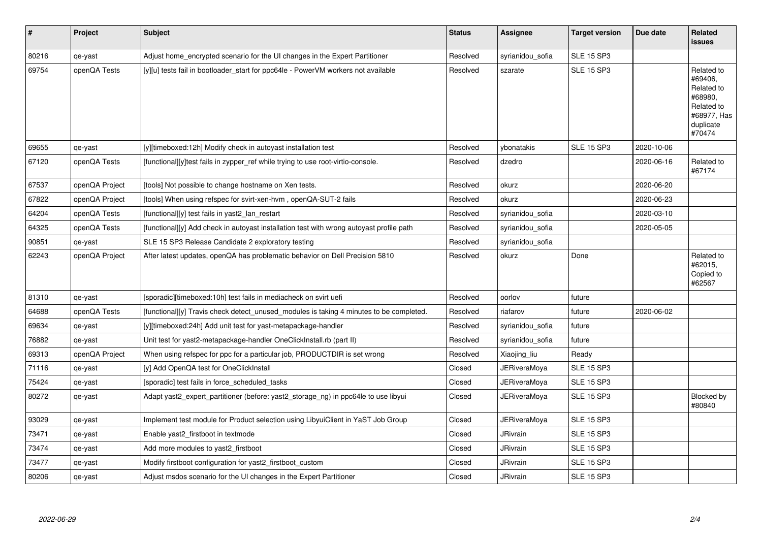| $\vert$ # | <b>Project</b> | <b>Subject</b>                                                                           | <b>Status</b> | <b>Assignee</b>     | <b>Target version</b> | Due date   | Related<br><b>issues</b>                                                                           |
|-----------|----------------|------------------------------------------------------------------------------------------|---------------|---------------------|-----------------------|------------|----------------------------------------------------------------------------------------------------|
| 80216     | qe-yast        | Adjust home encrypted scenario for the UI changes in the Expert Partitioner              | Resolved      | syrianidou_sofia    | <b>SLE 15 SP3</b>     |            |                                                                                                    |
| 69754     | openQA Tests   | [y][u] tests fail in bootloader start for ppc64le - PowerVM workers not available        | Resolved      | szarate             | <b>SLE 15 SP3</b>     |            | Related to<br>#69406,<br>Related to<br>#68980,<br>Related to<br>#68977, Has<br>duplicate<br>#70474 |
| 69655     | qe-yast        | [y][timeboxed:12h] Modify check in autoyast installation test                            | Resolved      | vbonatakis          | <b>SLE 15 SP3</b>     | 2020-10-06 |                                                                                                    |
| 67120     | openQA Tests   | [functional][y]test fails in zypper ref while trying to use root-virtio-console.         | Resolved      | dzedro              |                       | 2020-06-16 | Related to<br>#67174                                                                               |
| 67537     | openQA Project | [tools] Not possible to change hostname on Xen tests.                                    | Resolved      | okurz               |                       | 2020-06-20 |                                                                                                    |
| 67822     | openQA Project | [tools] When using refspec for svirt-xen-hvm, openQA-SUT-2 fails                         | Resolved      | okurz               |                       | 2020-06-23 |                                                                                                    |
| 64204     | openQA Tests   | [functional][y] test fails in yast2 lan restart                                          | Resolved      | syrianidou sofia    |                       | 2020-03-10 |                                                                                                    |
| 64325     | openQA Tests   | [functional][y] Add check in autoyast installation test with wrong autoyast profile path | Resolved      | syrianidou_sofia    |                       | 2020-05-05 |                                                                                                    |
| 90851     | qe-yast        | SLE 15 SP3 Release Candidate 2 exploratory testing                                       | Resolved      | syrianidou_sofia    |                       |            |                                                                                                    |
| 62243     | openQA Project | After latest updates, openQA has problematic behavior on Dell Precision 5810             | Resolved      | okurz               | Done                  |            | Related to<br>#62015,<br>Copied to<br>#62567                                                       |
| 81310     | qe-yast        | [sporadic][timeboxed:10h] test fails in mediacheck on svirt uefi                         | Resolved      | oorlov              | future                |            |                                                                                                    |
| 64688     | openQA Tests   | [functional][y] Travis check detect_unused_modules is taking 4 minutes to be completed.  | Resolved      | riafarov            | future                | 2020-06-02 |                                                                                                    |
| 69634     | qe-yast        | [y][timeboxed:24h] Add unit test for yast-metapackage-handler                            | Resolved      | syrianidou_sofia    | future                |            |                                                                                                    |
| 76882     | qe-yast        | Unit test for yast2-metapackage-handler OneClickInstall.rb (part II)                     | Resolved      | syrianidou sofia    | future                |            |                                                                                                    |
| 69313     | openQA Project | When using refspec for ppc for a particular job, PRODUCTDIR is set wrong                 | Resolved      | Xiaojing_liu        | Ready                 |            |                                                                                                    |
| 71116     | qe-yast        | [y] Add OpenQA test for OneClickInstall                                                  | Closed        | <b>JERiveraMoya</b> | <b>SLE 15 SP3</b>     |            |                                                                                                    |
| 75424     | qe-yast        | [sporadic] test fails in force scheduled tasks                                           | Closed        | <b>JERiveraMoya</b> | <b>SLE 15 SP3</b>     |            |                                                                                                    |
| 80272     | qe-yast        | Adapt yast2_expert_partitioner (before: yast2_storage_ng) in ppc64le to use libyui       | Closed        | JERiveraMoya        | <b>SLE 15 SP3</b>     |            | Blocked by<br>#80840                                                                               |
| 93029     | qe-yast        | Implement test module for Product selection using LibyuiClient in YaST Job Group         | Closed        | <b>JERiveraMoya</b> | <b>SLE 15 SP3</b>     |            |                                                                                                    |
| 73471     | qe-yast        | Enable yast2 firstboot in textmode                                                       | Closed        | JRivrain            | <b>SLE 15 SP3</b>     |            |                                                                                                    |
| 73474     | qe-yast        | Add more modules to yast2 firstboot                                                      | Closed        | <b>JRivrain</b>     | <b>SLE 15 SP3</b>     |            |                                                                                                    |
| 73477     | qe-yast        | Modify firstboot configuration for yast2 firstboot custom                                | Closed        | JRivrain            | <b>SLE 15 SP3</b>     |            |                                                                                                    |
| 80206     | qe-yast        | Adjust msdos scenario for the UI changes in the Expert Partitioner                       | Closed        | <b>JRivrain</b>     | <b>SLE 15 SP3</b>     |            |                                                                                                    |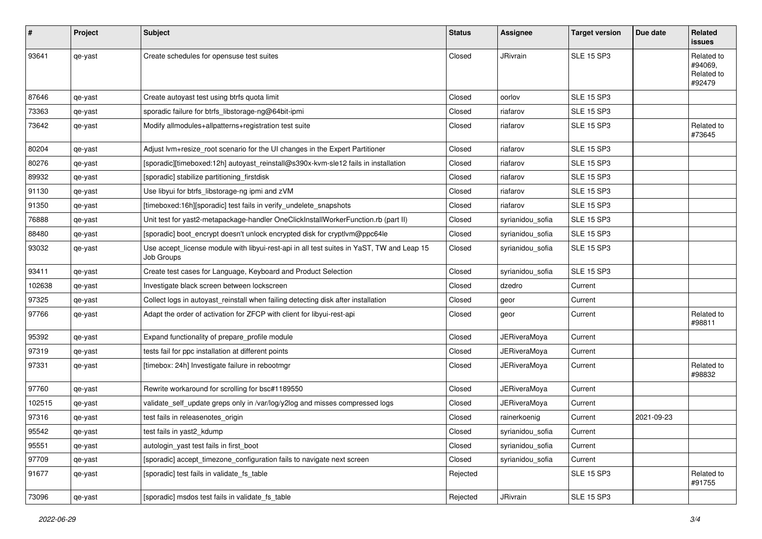| #      | Project | <b>Subject</b>                                                                                                 | <b>Status</b> | <b>Assignee</b>     | <b>Target version</b> | Due date   | Related<br>issues                             |
|--------|---------|----------------------------------------------------------------------------------------------------------------|---------------|---------------------|-----------------------|------------|-----------------------------------------------|
| 93641  | qe-yast | Create schedules for opensuse test suites                                                                      | Closed        | JRivrain            | <b>SLE 15 SP3</b>     |            | Related to<br>#94069,<br>Related to<br>#92479 |
| 87646  | qe-yast | Create autoyast test using btrfs quota limit                                                                   | Closed        | oorlov              | <b>SLE 15 SP3</b>     |            |                                               |
| 73363  | qe-yast | sporadic failure for btrfs_libstorage-ng@64bit-ipmi                                                            | Closed        | riafarov            | <b>SLE 15 SP3</b>     |            |                                               |
| 73642  | qe-yast | Modify allmodules+allpatterns+registration test suite                                                          | Closed        | riafarov            | <b>SLE 15 SP3</b>     |            | Related to<br>#73645                          |
| 80204  | qe-yast | Adjust lvm+resize_root scenario for the UI changes in the Expert Partitioner                                   | Closed        | riafarov            | <b>SLE 15 SP3</b>     |            |                                               |
| 80276  | qe-yast | [sporadic][timeboxed:12h] autoyast_reinstall@s390x-kvm-sle12 fails in installation                             | Closed        | riafarov            | <b>SLE 15 SP3</b>     |            |                                               |
| 89932  | qe-yast | [sporadic] stabilize partitioning_firstdisk                                                                    | Closed        | riafarov            | <b>SLE 15 SP3</b>     |            |                                               |
| 91130  | qe-yast | Use libyui for btrfs_libstorage-ng ipmi and zVM                                                                | Closed        | riafarov            | <b>SLE 15 SP3</b>     |            |                                               |
| 91350  | qe-yast | [timeboxed:16h][sporadic] test fails in verify_undelete_snapshots                                              | Closed        | riafarov            | <b>SLE 15 SP3</b>     |            |                                               |
| 76888  | qe-yast | Unit test for yast2-metapackage-handler OneClickInstallWorkerFunction.rb (part II)                             | Closed        | syrianidou_sofia    | <b>SLE 15 SP3</b>     |            |                                               |
| 88480  | qe-yast | [sporadic] boot_encrypt doesn't unlock encrypted disk for cryptlvm@ppc64le                                     | Closed        | syrianidou_sofia    | <b>SLE 15 SP3</b>     |            |                                               |
| 93032  | qe-yast | Use accept_license module with libyui-rest-api in all test suites in YaST, TW and Leap 15<br><b>Job Groups</b> | Closed        | syrianidou_sofia    | <b>SLE 15 SP3</b>     |            |                                               |
| 93411  | qe-yast | Create test cases for Language, Keyboard and Product Selection                                                 | Closed        | syrianidou_sofia    | <b>SLE 15 SP3</b>     |            |                                               |
| 102638 | qe-yast | Investigate black screen between lockscreen                                                                    | Closed        | dzedro              | Current               |            |                                               |
| 97325  | qe-yast | Collect logs in autoyast_reinstall when failing detecting disk after installation                              | Closed        | geor                | Current               |            |                                               |
| 97766  | qe-yast | Adapt the order of activation for ZFCP with client for libyui-rest-api                                         | Closed        | geor                | Current               |            | Related to<br>#98811                          |
| 95392  | qe-yast | Expand functionality of prepare_profile module                                                                 | Closed        | <b>JERiveraMoya</b> | Current               |            |                                               |
| 97319  | qe-yast | tests fail for ppc installation at different points                                                            | Closed        | JERiveraMoya        | Current               |            |                                               |
| 97331  | qe-yast | [timebox: 24h] Investigate failure in rebootmgr                                                                | Closed        | <b>JERiveraMoya</b> | Current               |            | Related to<br>#98832                          |
| 97760  | qe-yast | Rewrite workaround for scrolling for bsc#1189550                                                               | Closed        | JERiveraMoya        | Current               |            |                                               |
| 102515 | qe-yast | validate_self_update greps only in /var/log/y2log and misses compressed logs                                   | Closed        | JERiveraMoya        | Current               |            |                                               |
| 97316  | qe-yast | test fails in releasenotes origin                                                                              | Closed        | rainerkoenig        | Current               | 2021-09-23 |                                               |
| 95542  | qe-yast | test fails in yast2_kdump                                                                                      | Closed        | syrianidou_sofia    | Current               |            |                                               |
| 95551  | qe-yast | autologin yast test fails in first boot                                                                        | Closed        | syrianidou_sofia    | Current               |            |                                               |
| 97709  | qe-yast | [sporadic] accept_timezone_configuration fails to navigate next screen                                         | Closed        | syrianidou_sofia    | Current               |            |                                               |
| 91677  | qe-yast | [sporadic] test fails in validate_fs_table                                                                     | Rejected      |                     | <b>SLE 15 SP3</b>     |            | Related to<br>#91755                          |
| 73096  | qe-yast | [sporadic] msdos test fails in validate_fs_table                                                               | Rejected      | JRivrain            | <b>SLE 15 SP3</b>     |            |                                               |